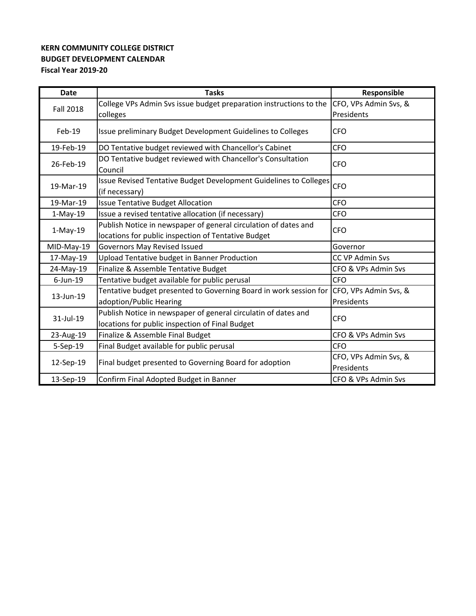## **BUDGET DEVELOPMENT CALENDAR Fiscal Year 2019‐20 KERN COMMUNITY COLLEGE DISTRICT**

| Date             | <b>Tasks</b>                                                                            | Responsible            |
|------------------|-----------------------------------------------------------------------------------------|------------------------|
| <b>Fall 2018</b> | College VPs Admin Svs issue budget preparation instructions to the                      | CFO, VPs Admin Svs, &  |
|                  | colleges                                                                                | Presidents             |
| $Feb-19$         | Issue preliminary Budget Development Guidelines to Colleges                             | <b>CFO</b>             |
| 19-Feb-19        | DO Tentative budget reviewed with Chancellor's Cabinet                                  | <b>CFO</b>             |
| 26-Feb-19        | DO Tentative budget reviewed with Chancellor's Consultation<br>Council                  | <b>CFO</b>             |
| 19-Mar-19        | Issue Revised Tentative Budget Development Guidelines to Colleges<br>(if necessary)     | <b>CFO</b>             |
| 19-Mar-19        | <b>Issue Tentative Budget Allocation</b>                                                | <b>CFO</b>             |
| $1-May-19$       | Issue a revised tentative allocation (if necessary)                                     | <b>CFO</b>             |
|                  | Publish Notice in newspaper of general circulation of dates and                         | <b>CFO</b>             |
| $1-May-19$       | locations for public inspection of Tentative Budget                                     |                        |
| MID-May-19       | Governors May Revised Issued                                                            | Governor               |
| 17-May-19        | Upload Tentative budget in Banner Production                                            | <b>CC VP Admin Svs</b> |
| 24-May-19        | Finalize & Assemble Tentative Budget                                                    | CFO & VPs Admin Svs    |
| $6$ -Jun-19      | Tentative budget available for public perusal                                           | <b>CFO</b>             |
| 13-Jun-19        | Tentative budget presented to Governing Board in work session for CFO, VPs Admin Svs, & |                        |
|                  | adoption/Public Hearing                                                                 | Presidents             |
| 31-Jul-19        | Publish Notice in newspaper of general circulatin of dates and                          | <b>CFO</b>             |
|                  | locations for public inspection of Final Budget                                         |                        |
| 23-Aug-19        | Finalize & Assemble Final Budget                                                        | CFO & VPs Admin Svs    |
| 5-Sep-19         | Final Budget available for public perusal                                               | <b>CFO</b>             |
| 12-Sep-19        | Final budget presented to Governing Board for adoption                                  | CFO, VPs Admin Svs, &  |
|                  |                                                                                         | Presidents             |
| 13-Sep-19        | Confirm Final Adopted Budget in Banner                                                  | CFO & VPs Admin Svs    |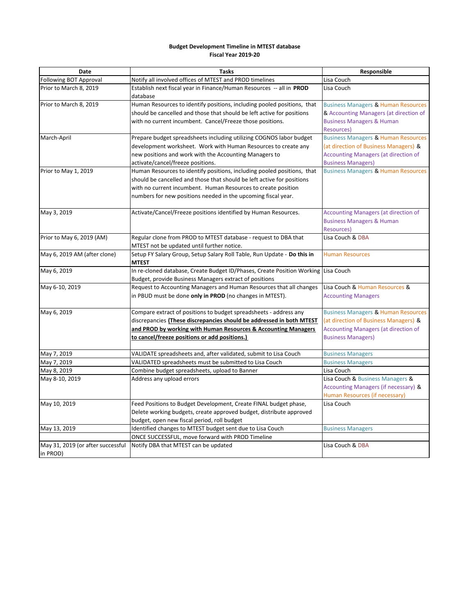## **Budget Development Timeline in MTEST database Fiscal Year 2019‐20**

| Date                              | <b>Tasks</b>                                                                       | Responsible                                    |
|-----------------------------------|------------------------------------------------------------------------------------|------------------------------------------------|
| Following BOT Approval            | Notify all involved offices of MTEST and PROD timelines                            | Lisa Couch                                     |
| Prior to March 8, 2019            | Establish next fiscal year in Finance/Human Resources -- all in PROD               | Lisa Couch                                     |
|                                   | database                                                                           |                                                |
| Prior to March 8, 2019            | Human Resources to identify positions, including pooled positions, that            | <b>Business Managers &amp; Human Resources</b> |
|                                   | should be cancelled and those that should be left active for positions             | & Accounting Managers (at direction of         |
|                                   | with no current incumbent. Cancel/Freeze those positions.                          | <b>Business Managers &amp; Human</b>           |
|                                   |                                                                                    | Resources)                                     |
| March-April                       | Prepare budget spreadsheets including utilizing COGNOS labor budget                | <b>Business Managers &amp; Human Resources</b> |
|                                   | development worksheet. Work with Human Resources to create any                     | (at direction of Business Managers) &          |
|                                   | new positions and work with the Accounting Managers to                             | <b>Accounting Managers (at direction of</b>    |
|                                   | activate/cancel/freeze positions.                                                  | <b>Business Managers)</b>                      |
| Prior to May 1, 2019              | Human Resources to identify positions, including pooled positions, that            | <b>Business Managers &amp; Human Resources</b> |
|                                   | should be cancelled and those that should be left active for positions             |                                                |
|                                   | with no current incumbent. Human Resources to create position                      |                                                |
|                                   | numbers for new positions needed in the upcoming fiscal year.                      |                                                |
|                                   |                                                                                    |                                                |
| May 3, 2019                       | Activate/Cancel/Freeze positions identified by Human Resources.                    | Accounting Managers (at direction of           |
|                                   |                                                                                    | <b>Business Managers &amp; Human</b>           |
|                                   |                                                                                    | <b>Resources)</b>                              |
| Prior to May 6, 2019 (AM)         | Regular clone from PROD to MTEST database - request to DBA that                    | Lisa Couch & DBA                               |
|                                   | MTEST not be updated until further notice.                                         |                                                |
| May 6, 2019 AM (after clone)      | Setup FY Salary Group, Setup Salary Roll Table, Run Update - Do this in            | <b>Human Resources</b>                         |
|                                   | <b>MTEST</b>                                                                       |                                                |
| May 6, 2019                       | In re-cloned database, Create Budget ID/Phases, Create Position Working Lisa Couch |                                                |
|                                   | Budget, provide Business Managers extract of positions                             |                                                |
| May 6-10, 2019                    | Request to Accounting Managers and Human Resources that all changes                | Lisa Couch & Human Resources &                 |
|                                   | in PBUD must be done only in PROD (no changes in MTEST).                           | <b>Accounting Managers</b>                     |
|                                   |                                                                                    |                                                |
| May 6, 2019                       | Compare extract of positions to budget spreadsheets - address any                  | <b>Business Managers &amp; Human Resources</b> |
|                                   | discrepancies (These discrepancies should be addressed in both MTEST               | (at direction of Business Managers) &          |
|                                   | and PROD by working with Human Resources & Accounting Managers                     | <b>Accounting Managers (at direction of</b>    |
|                                   | to cancel/freeze positions or add positions.)                                      | <b>Business Managers)</b>                      |
| May 7, 2019                       | VALIDATE spreadsheets and, after validated, submit to Lisa Couch                   | <b>Business Managers</b>                       |
| May 7, 2019                       | VALIDATED spreadsheets must be submitted to Lisa Couch                             | <b>Business Managers</b>                       |
| May 8, 2019                       | Combine budget spreadsheets, upload to Banner                                      | Lisa Couch                                     |
| May 8-10, 2019                    | Address any upload errors                                                          | Lisa Couch & Business Managers &               |
|                                   |                                                                                    | Accounting Managers (if necessary) &           |
|                                   |                                                                                    | Human Resources (if necessary)                 |
| May 10, 2019                      | Feed Positions to Budget Development, Create FINAL budget phase,                   | Lisa Couch                                     |
|                                   | Delete working budgets, create approved budget, distribute approved                |                                                |
|                                   | budget, open new fiscal period, roll budget                                        |                                                |
| May 13, 2019                      | Identified changes to MTEST budget sent due to Lisa Couch                          | <b>Business Managers</b>                       |
|                                   | ONCE SUCCESSFUL, move forward with PROD Timeline                                   |                                                |
| May 31, 2019 (or after successful | Notify DBA that MTEST can be updated                                               | Lisa Couch & DBA                               |
| in PROD)                          |                                                                                    |                                                |
|                                   |                                                                                    |                                                |